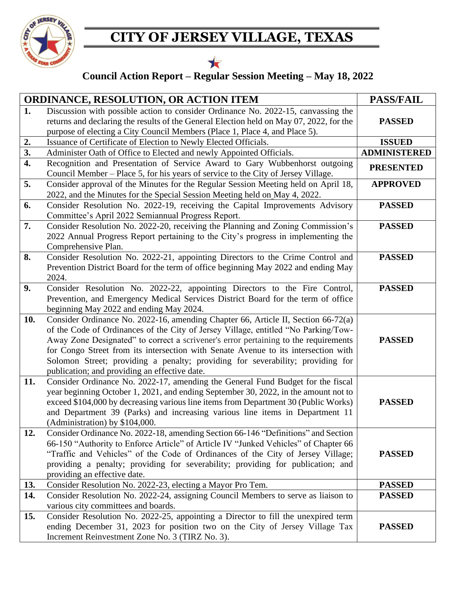

## **CITY OF JERSEY VILLAGE, TEXAS**

## $\bigstar$

## **Council Action Report – Regular Session Meeting – May 18, 2022**

| <b>ORDINANCE, RESOLUTION, OR ACTION ITEM</b> |                                                                                                                                                                                                                                                                                                                                                                                                                                                                                         | <b>PASS/FAIL</b>    |
|----------------------------------------------|-----------------------------------------------------------------------------------------------------------------------------------------------------------------------------------------------------------------------------------------------------------------------------------------------------------------------------------------------------------------------------------------------------------------------------------------------------------------------------------------|---------------------|
| 1.                                           | Discussion with possible action to consider Ordinance No. 2022-15, canvassing the<br>returns and declaring the results of the General Election held on May 07, 2022, for the<br>purpose of electing a City Council Members (Place 1, Place 4, and Place 5).                                                                                                                                                                                                                             | <b>PASSED</b>       |
| 2.                                           | Issuance of Certificate of Election to Newly Elected Officials.                                                                                                                                                                                                                                                                                                                                                                                                                         | <b>ISSUED</b>       |
| $\overline{3}$ .                             | Administer Oath of Office to Elected and newly Appointed Officials.                                                                                                                                                                                                                                                                                                                                                                                                                     | <b>ADMINISTERED</b> |
| 4.                                           | Recognition and Presentation of Service Award to Gary Wubbenhorst outgoing<br>Council Member – Place 5, for his years of service to the City of Jersey Village.                                                                                                                                                                                                                                                                                                                         | <b>PRESENTED</b>    |
| 5.                                           | Consider approval of the Minutes for the Regular Session Meeting held on April 18,<br>2022, and the Minutes for the Special Session Meeting held on May 4, 2022.                                                                                                                                                                                                                                                                                                                        | <b>APPROVED</b>     |
| 6.                                           | Consider Resolution No. 2022-19, receiving the Capital Improvements Advisory<br>Committee's April 2022 Semiannual Progress Report.                                                                                                                                                                                                                                                                                                                                                      | <b>PASSED</b>       |
| 7.                                           | Consider Resolution No. 2022-20, receiving the Planning and Zoning Commission's<br>2022 Annual Progress Report pertaining to the City's progress in implementing the<br>Comprehensive Plan.                                                                                                                                                                                                                                                                                             | <b>PASSED</b>       |
| 8.                                           | Consider Resolution No. 2022-21, appointing Directors to the Crime Control and<br>Prevention District Board for the term of office beginning May 2022 and ending May<br>2024.                                                                                                                                                                                                                                                                                                           | <b>PASSED</b>       |
| 9.                                           | Consider Resolution No. 2022-22, appointing Directors to the Fire Control,<br>Prevention, and Emergency Medical Services District Board for the term of office<br>beginning May 2022 and ending May 2024.                                                                                                                                                                                                                                                                               | <b>PASSED</b>       |
| 10.                                          | Consider Ordinance No. 2022-16, amending Chapter 66, Article II, Section 66-72(a)<br>of the Code of Ordinances of the City of Jersey Village, entitled "No Parking/Tow-<br>Away Zone Designated" to correct a scrivener's error pertaining to the requirements<br>for Congo Street from its intersection with Senate Avenue to its intersection with<br>Solomon Street; providing a penalty; providing for severability; providing for<br>publication; and providing an effective date. | <b>PASSED</b>       |
| 11.                                          | Consider Ordinance No. 2022-17, amending the General Fund Budget for the fiscal<br>year beginning October 1, 2021, and ending September 30, 2022, in the amount not to<br>exceed \$104,000 by decreasing various line items from Department 30 (Public Works)<br>and Department 39 (Parks) and increasing various line items in Department 11<br>(Administration) by \$104,000.                                                                                                         | <b>PASSED</b>       |
| 12.                                          | Consider Ordinance No. 2022-18, amending Section 66-146 "Definitions" and Section<br>66-150 "Authority to Enforce Article" of Article IV "Junked Vehicles" of Chapter 66<br>"Traffic and Vehicles" of the Code of Ordinances of the City of Jersey Village;<br>providing a penalty; providing for severability; providing for publication; and<br>providing an effective date.                                                                                                          | <b>PASSED</b>       |
| 13.                                          | Consider Resolution No. 2022-23, electing a Mayor Pro Tem.                                                                                                                                                                                                                                                                                                                                                                                                                              | <b>PASSED</b>       |
| 14.                                          | Consider Resolution No. 2022-24, assigning Council Members to serve as liaison to<br>various city committees and boards.                                                                                                                                                                                                                                                                                                                                                                | <b>PASSED</b>       |
| 15.                                          | Consider Resolution No. 2022-25, appointing a Director to fill the unexpired term<br>ending December 31, 2023 for position two on the City of Jersey Village Tax<br>Increment Reinvestment Zone No. 3 (TIRZ No. 3).                                                                                                                                                                                                                                                                     | <b>PASSED</b>       |